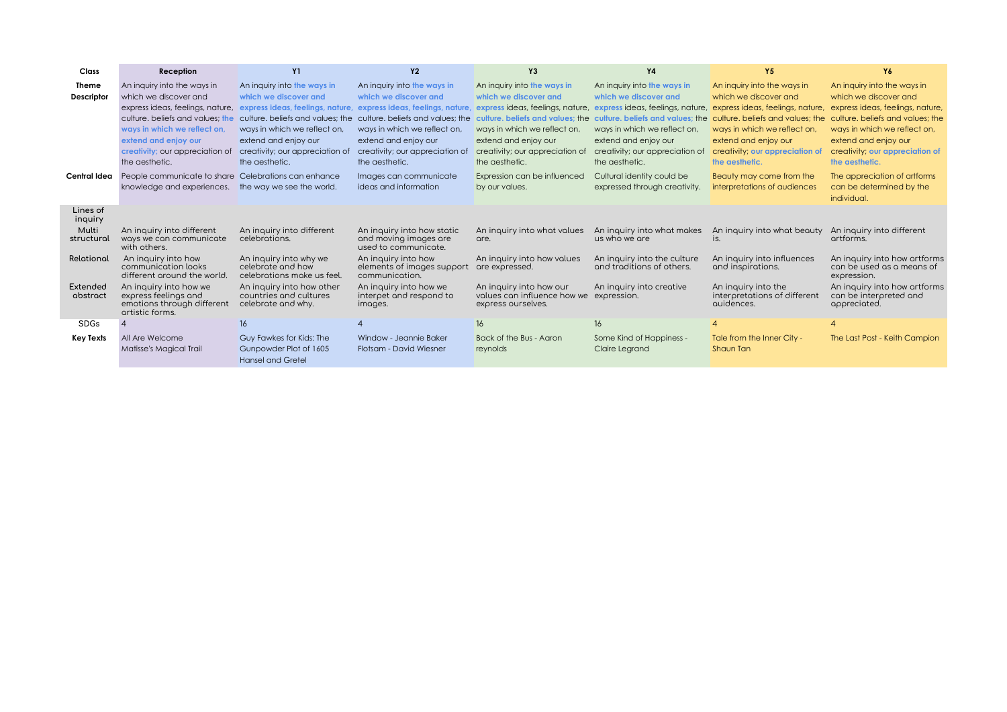| Class               | Reception                                          | <b>Y1</b>                                       | <b>Y2</b>                                     | Y3                                                     | <b>Y4</b>                        | Y5                                                                | Y6                                       |
|---------------------|----------------------------------------------------|-------------------------------------------------|-----------------------------------------------|--------------------------------------------------------|----------------------------------|-------------------------------------------------------------------|------------------------------------------|
| <b>Theme</b>        | An inquiry into the ways in                        | An inquiry into the ways in                     | An inquiry into the ways in                   | An inquiry into the ways in                            | An inquiry into the ways in      | An inquiry into the ways in                                       | An inquiry into the ways in              |
| Descriptor          | which we discover and                              | which we discover and                           | which we discover and                         | which we discover and                                  | which we discover and            | which we discover and                                             | which we discover and                    |
|                     | express ideas, feelings, nature,                   | express ideas, feelings, nature,                | express ideas, feelings, nature,              | express ideas, feelings, nature,                       | express ideas, feelings, nature, | express ideas, feelings, nature,                                  | express ideas, feelings, nature,         |
|                     | culture, beliefs and values; the                   | culture, beliefs and values; the                | culture. beliefs and values; the              | culture, beliefs and values; the                       |                                  | culture, beliefs and values; the culture, beliefs and values; the | culture, beliefs and values: the         |
|                     | ways in which we reflect on,                       | ways in which we reflect on,                    | ways in which we reflect on,                  | ways in which we reflect on,                           | ways in which we reflect on,     | ways in which we reflect on,                                      | ways in which we reflect on,             |
|                     | extend and enjoy our                               | extend and enjoy our                            | extend and enjoy our                          | extend and enjoy our                                   | extend and enjoy our             | extend and enjoy our                                              | extend and enjoy our                     |
|                     | creativity; our appreciation of                    | creativity; our appreciation of                 | creativity; our appreciation of               | creativity; our appreciation of                        | creativity; our appreciation of  | creativity; our appreciation of                                   | creativity; our appreciation of          |
|                     | the aesthetic.                                     | the aesthetic.                                  | the aesthetic.                                | the aesthetic.                                         | the aesthetic.                   | the aesthetic.                                                    | the aesthetic.                           |
| Central Idea        | People communicate to share                        | Celebrations can enhance                        | Images can communicate                        | Expression can be influenced                           | Cultural identity could be       | Beauty may come from the                                          | The appreciation of artforms             |
|                     | knowledge and experiences.                         | the way we see the world.                       | ideas and information                         | by our values.                                         | expressed through creativity.    | interpretations of audiences                                      | can be determined by the                 |
|                     |                                                    |                                                 |                                               |                                                        |                                  |                                                                   | individual.                              |
| Lines of<br>inquiry |                                                    |                                                 |                                               |                                                        |                                  |                                                                   |                                          |
| Multi               | An inquiry into different                          | An inquiry into different                       | An inquiry into how static                    | An inquiry into what values                            | An inquiry into what makes       | An inquiry into what beauty                                       | An inquiry into different                |
| structural          | ways we can communicate<br>with others.            | celebrations.                                   | and moving images are<br>used to communicate. | are.                                                   | us who we are                    | is.                                                               | artforms.                                |
| Relational          | An inquiry into how                                | An inquiry into why we                          | An inquiry into how                           | An inquiry into how values                             | An inquiry into the culture      | An inquiry into influences                                        | An inquiry into how artforms             |
|                     | communication looks<br>different around the world. | celebrate and how<br>celebrations make us feel. | elements of images support<br>communication.  | are expressed.                                         | and traditions of others.        | and inspirations.                                                 | can be used as a means of<br>expression. |
| <b>Extended</b>     | An inquiry into how we                             | An inquiry into how other                       | An inquiry into how we                        | An inquiry into how our<br>values can influence how we | An inquiry into creative         | An inquiry into the                                               | An inquiry into how artforms             |
| abstract            | express feelings and<br>emotions through different | countries and cultures<br>celebrate and why.    | interpet and respond to<br>images.            | express ourselves.                                     | expression.                      | interpretations of different<br>quidences.                        | can be interpreted and<br>appreciated.   |
|                     | artistic forms.                                    |                                                 |                                               |                                                        |                                  |                                                                   |                                          |
| <b>SDGs</b>         |                                                    | 16                                              |                                               | 16                                                     | 16                               | Δ                                                                 | $\Delta$                                 |
| <b>Key Texts</b>    | All Are Welcome                                    | Guy Fawkes for Kids: The                        | Window - Jeannie Baker                        | Back of the Bus - Aaron                                | Some Kind of Happiness -         | Tale from the Inner City -                                        | The Last Post - Keith Campion            |
|                     | Matisse's Magical Trail                            | Gunpowder Plot of 1605                          | Flotsam - David Wiesner                       | reynolds                                               | Claire Learand                   | Shaun Tan                                                         |                                          |
|                     |                                                    | <b>Hansel and Gretel</b>                        |                                               |                                                        |                                  |                                                                   |                                          |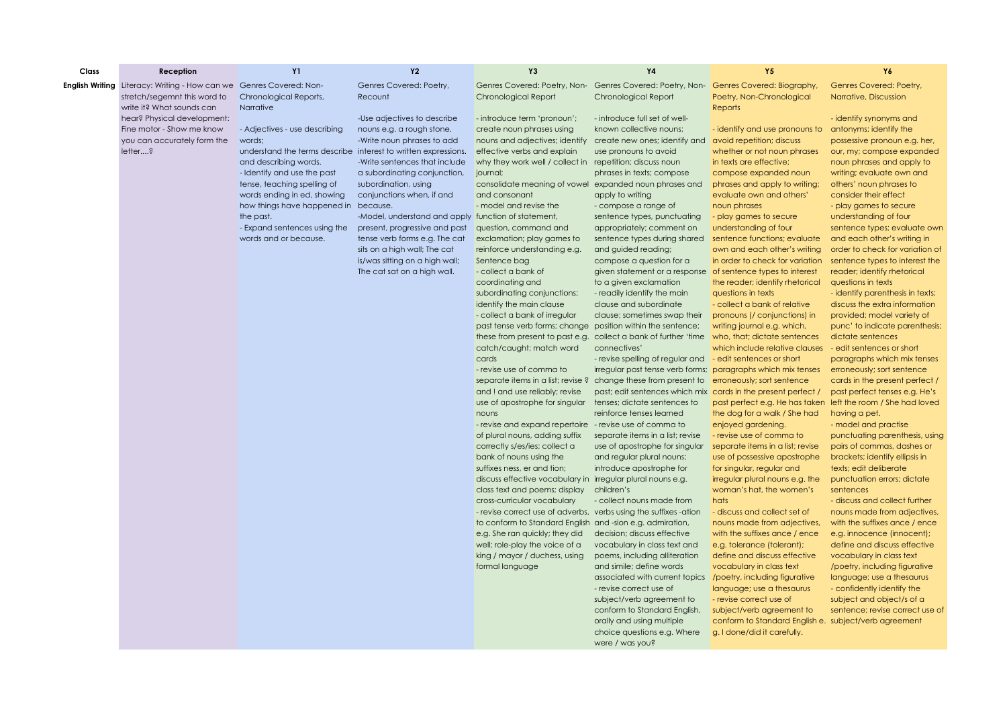| Class | Reception                                                                  | <b>Y1</b>                                                      | <b>Y2</b>                                                     | Y3                                                                                           | Y4                                                            | <b>Y5</b>                                                                          | Y6                                                             |
|-------|----------------------------------------------------------------------------|----------------------------------------------------------------|---------------------------------------------------------------|----------------------------------------------------------------------------------------------|---------------------------------------------------------------|------------------------------------------------------------------------------------|----------------------------------------------------------------|
|       | <b>English Writing</b> Literacy: Writing - How can we Genres Covered: Non- |                                                                | Genres Covered: Poetry,                                       | Genres Covered: Poetry, Non- Genres Covered: Poetry, Non- Genres Covered: Biography,         |                                                               |                                                                                    | Genres Covered: Poetry,                                        |
|       | stretch/segemnt this word to                                               | Chronological Reports,                                         | Recount                                                       | <b>Chronological Report</b>                                                                  | <b>Chronological Report</b>                                   | Poetry, Non-Chronological                                                          | Narrative, Discussion                                          |
|       | write it? What sounds can                                                  | Narrative                                                      |                                                               |                                                                                              |                                                               | <b>Reports</b>                                                                     |                                                                |
|       | hear? Physical development:                                                |                                                                | -Use adjectives to describe                                   | - introduce term 'pronoun';                                                                  | - introduce full set of well-                                 |                                                                                    | - identify synonyms and                                        |
|       | Fine motor - Show me know                                                  | - Adjectives - use describing                                  | nouns e.g. a rough stone.                                     | create noun phrases using                                                                    | known collective nouns:                                       | - identify and use pronouns to                                                     | antonyms; identify the                                         |
|       | you can accurately form the                                                | words:                                                         | -Write noun phrases to add                                    | nouns and adjectives; identify create new ones; identify and avoid repetition; discuss       |                                                               |                                                                                    | possessive pronoun e.g. her,                                   |
|       | letter?                                                                    | understand the terms describe interest to written expressions. |                                                               | effective verbs and explain                                                                  | use pronouns to avoid                                         | whether or not noun phrases                                                        | our, my; compose expanded                                      |
|       |                                                                            | and describing words.                                          | -Write sentences that include                                 | why they work well / collect in repetition; discuss noun                                     |                                                               | in texts are effective;                                                            | noun phrases and apply to                                      |
|       |                                                                            | - Identify and use the past                                    | a subordinating conjunction,                                  | journal;                                                                                     | phrases in texts; compose                                     | compose expanded noun                                                              | writing; evaluate own and                                      |
|       |                                                                            | tense, teaching spelling of                                    | subordination, using                                          | consolidate meaning of vowel expanded noun phrases and                                       |                                                               | phrases and apply to writing;                                                      | others' noun phrases to                                        |
|       |                                                                            | words ending in ed, showing                                    | conjunctions when, if and                                     | and consonant                                                                                | apply to writing                                              | evaluate own and others'                                                           | consider their effect                                          |
|       |                                                                            | how things have happened in                                    | because.                                                      | - model and revise the                                                                       | - compose a range of                                          | noun phrases                                                                       | - play games to secure                                         |
|       |                                                                            | the past.                                                      | -Model, understand and apply function of statement,           |                                                                                              | sentence types, punctuating                                   | - play games to secure                                                             | understanding of four                                          |
|       |                                                                            | - Expand sentences using the<br>words and or because.          | present, progressive and past                                 | question, command and                                                                        | appropriately; comment on                                     | understanding of four                                                              | sentence types; evaluate own                                   |
|       |                                                                            |                                                                | tense verb forms e.g. The cat<br>sits on a high wall; The cat | exclamation; play games to<br>reinforce understanding e.g.                                   | sentence types during shared                                  | sentence functions; evaluate<br>own and each other's writing                       | and each other's writing in<br>order to check for variation of |
|       |                                                                            |                                                                | is/was sitting on a high wall;                                | Sentence bag                                                                                 | and guided reading;<br>compose a question for a               | in order to check for variation                                                    | sentence types to interest the                                 |
|       |                                                                            |                                                                | The cat sat on a high wall.                                   | - collect a bank of                                                                          | given statement or a response of sentence types to interest   |                                                                                    | reader; identify rhetorical                                    |
|       |                                                                            |                                                                |                                                               | coordinating and                                                                             | to a given exclamation                                        | the reader; identify rhetorical                                                    | questions in texts                                             |
|       |                                                                            |                                                                |                                                               | subordinating conjunctions;                                                                  | - readily identify the main                                   | questions in texts                                                                 | - identify parenthesis in texts;                               |
|       |                                                                            |                                                                |                                                               | identify the main clause                                                                     | clause and subordinate                                        | - collect a bank of relative                                                       | discuss the extra information                                  |
|       |                                                                            |                                                                |                                                               | - collect a bank of irregular                                                                | clause; sometimes swap their                                  | pronouns (/ conjunctions) in                                                       | provided; model variety of                                     |
|       |                                                                            |                                                                |                                                               | past tense verb forms; change position within the sentence;                                  |                                                               | writing journal e.g. which,                                                        | punc' to indicate parenthesis;                                 |
|       |                                                                            |                                                                |                                                               | these from present to past e.g. collect a bank of further 'time who, that; dictate sentences |                                                               |                                                                                    | dictate sentences                                              |
|       |                                                                            |                                                                |                                                               | catch/caught; match word                                                                     | connectives'                                                  | which include relative clauses                                                     | - edit sentences or short                                      |
|       |                                                                            |                                                                |                                                               | cards                                                                                        | - revise spelling of regular and                              | - edit sentences or short                                                          | paragraphs which mix tenses                                    |
|       |                                                                            |                                                                |                                                               | - revise use of comma to                                                                     | irregular past tense verb forms; paragraphs which mix tenses  |                                                                                    | erroneously; sort sentence                                     |
|       |                                                                            |                                                                |                                                               | separate items in a list; revise ? change these from present to                              |                                                               | erroneously; sort sentence                                                         | cards in the present perfect /                                 |
|       |                                                                            |                                                                |                                                               | and ! and use reliably; revise                                                               | past; edit sentences which mix cards in the present perfect / |                                                                                    | past perfect tenses e.g. He's                                  |
|       |                                                                            |                                                                |                                                               | use of apostrophe for singular                                                               | tenses; dictate sentences to                                  | past perfect e.g. He has taken left the room / She had loved                       |                                                                |
|       |                                                                            |                                                                |                                                               | nouns                                                                                        | reinforce tenses learned                                      | the dog for a walk / She had                                                       | having a pet.                                                  |
|       |                                                                            |                                                                |                                                               | - revise and expand repertoire - revise use of comma to<br>of plural nouns, adding suffix    | separate items in a list; revise                              | enjoyed gardening.<br>- revise use of comma to                                     | - model and practise<br>punctuating parenthesis, using         |
|       |                                                                            |                                                                |                                                               | correctly s/es/ies; collect a                                                                | use of apostrophe for singular                                | separate items in a list; revise                                                   | pairs of commas, dashes or                                     |
|       |                                                                            |                                                                |                                                               | bank of nouns using the                                                                      | and regular plural nouns;                                     | use of possessive apostrophe                                                       | brackets; identify ellipsis in                                 |
|       |                                                                            |                                                                |                                                               | suffixes ness, er and tion;                                                                  | introduce apostrophe for                                      | for singular, regular and                                                          | texts; edit deliberate                                         |
|       |                                                                            |                                                                |                                                               | discuss effective vocabulary in irregular plural nouns e.g.                                  |                                                               | irregular plural nouns e.g. the                                                    | punctuation errors; dictate                                    |
|       |                                                                            |                                                                |                                                               | class text and poems; display                                                                | children's                                                    | woman's hat, the women's                                                           | sentences                                                      |
|       |                                                                            |                                                                |                                                               | cross-curricular vocabulary                                                                  | - collect nouns made from                                     | hats                                                                               | - discuss and collect further                                  |
|       |                                                                            |                                                                |                                                               | - revise correct use of adverbs, verbs using the suffixes -ation                             |                                                               | - discuss and collect set of                                                       | nouns made from adjectives,                                    |
|       |                                                                            |                                                                |                                                               | to conform to Standard English and -sion e.g. admiration,                                    |                                                               | nouns made from adjectives,                                                        | with the suffixes ance / ence                                  |
|       |                                                                            |                                                                |                                                               | e.g. She ran quickly; they did                                                               | decision; discuss effective                                   | with the suffixes ance / ence                                                      | e.g. innocence (innocent);                                     |
|       |                                                                            |                                                                |                                                               | well; role-play the voice of a                                                               | vocabulary in class text and                                  | e.g. tolerance (tolerant);                                                         | define and discuss effective                                   |
|       |                                                                            |                                                                |                                                               | king / mayor / duchess, using                                                                | poems, including alliteration                                 | define and discuss effective                                                       | vocabulary in class text                                       |
|       |                                                                            |                                                                |                                                               | formal language                                                                              | and simile; define words                                      | vocabulary in class text                                                           | /poetry, including figurative                                  |
|       |                                                                            |                                                                |                                                               |                                                                                              | associated with current topics /poetry, including figurative  |                                                                                    | language; use a thesaurus                                      |
|       |                                                                            |                                                                |                                                               |                                                                                              | - revise correct use of                                       | language; use a thesaurus                                                          | - confidently identify the                                     |
|       |                                                                            |                                                                |                                                               |                                                                                              | subject/verb agreement to                                     | - revise correct use of                                                            | subject and object/s of a                                      |
|       |                                                                            |                                                                |                                                               |                                                                                              | conform to Standard English,<br>orally and using multiple     | subject/verb agreement to<br>conform to Standard English e. subject/verb agreement | sentence; revise correct use of                                |
|       |                                                                            |                                                                |                                                               |                                                                                              | choice questions e.g. Where                                   | g. I done/did it carefully.                                                        |                                                                |
|       |                                                                            |                                                                |                                                               |                                                                                              | were / was you?                                               |                                                                                    |                                                                |
|       |                                                                            |                                                                |                                                               |                                                                                              |                                                               |                                                                                    |                                                                |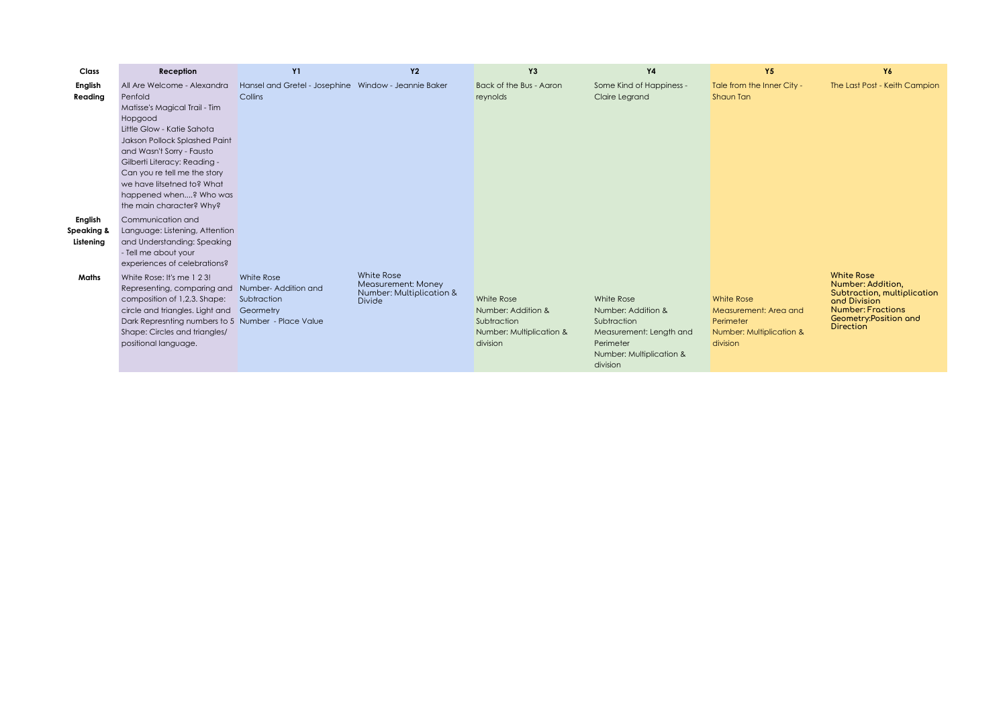| Class      | Reception                                          | <b>Y1</b>                                            | <b>Y2</b>                                      | Y3                       | <b>Y4</b>                | Y5                         | Y6                                               |
|------------|----------------------------------------------------|------------------------------------------------------|------------------------------------------------|--------------------------|--------------------------|----------------------------|--------------------------------------------------|
| English    | All Are Welcome - Alexandra                        | Hansel and Gretel - Josephine Window - Jeannie Baker |                                                | Back of the Bus - Aaron  | Some Kind of Happiness - | Tale from the Inner City - | The Last Post - Keith Campion                    |
| Reading    | Penfold                                            | Collins                                              |                                                | reynolds                 | Claire Legrand           | Shaun Tan                  |                                                  |
|            | Matisse's Magical Trail - Tim                      |                                                      |                                                |                          |                          |                            |                                                  |
|            | Hopgood                                            |                                                      |                                                |                          |                          |                            |                                                  |
|            | Little Glow - Katie Sahota                         |                                                      |                                                |                          |                          |                            |                                                  |
|            | Jakson Pollock Splashed Paint                      |                                                      |                                                |                          |                          |                            |                                                  |
|            | and Wasn't Sorry - Fausto                          |                                                      |                                                |                          |                          |                            |                                                  |
|            | Gilberti Literacy: Reading -                       |                                                      |                                                |                          |                          |                            |                                                  |
|            | Can you re tell me the story                       |                                                      |                                                |                          |                          |                            |                                                  |
|            | we have litsetned to? What                         |                                                      |                                                |                          |                          |                            |                                                  |
|            | happened when? Who was                             |                                                      |                                                |                          |                          |                            |                                                  |
|            | the main character? Why?                           |                                                      |                                                |                          |                          |                            |                                                  |
| English    | Communication and                                  |                                                      |                                                |                          |                          |                            |                                                  |
| Speaking & | Language: Listening, Attention                     |                                                      |                                                |                          |                          |                            |                                                  |
| Listening  | and Understanding: Speaking                        |                                                      |                                                |                          |                          |                            |                                                  |
|            | - Tell me about your                               |                                                      |                                                |                          |                          |                            |                                                  |
|            | experiences of celebrations?                       |                                                      |                                                |                          |                          |                            |                                                  |
| Maths      | White Rose: It's me 1 2 3!                         | White Rose                                           | White Rose                                     |                          |                          |                            | <b>White Rose</b>                                |
|            | Representing, comparing and                        | Number-Addition and                                  | Measurement: Money<br>Number: Multiplication & |                          |                          |                            | Number: Addition,<br>Subtraction, multiplication |
|            | composition of 1,2,3. Shape:                       | Subtraction                                          | <b>Divide</b>                                  | White Rose               | White Rose               | <b>White Rose</b>          | and Division                                     |
|            | circle and triangles. Light and Geormetry          |                                                      |                                                | Number: Addition &       | Number: Addition &       | Measurement: Area and      | <b>Number: Fractions</b>                         |
|            | Dark Represnting numbers to 5 Number - Place Value |                                                      |                                                | Subtraction              | Subtraction              | Perimeter                  | Geometry: Position and<br><b>Direction</b>       |
|            | Shape: Circles and triangles/                      |                                                      |                                                | Number: Multiplication & | Measurement: Length and  | Number: Multiplication &   |                                                  |
|            | positional language.                               |                                                      |                                                | division                 | Perimeter                | division                   |                                                  |
|            |                                                    |                                                      |                                                |                          | Number: Multiplication & |                            |                                                  |
|            |                                                    |                                                      |                                                |                          | division                 |                            |                                                  |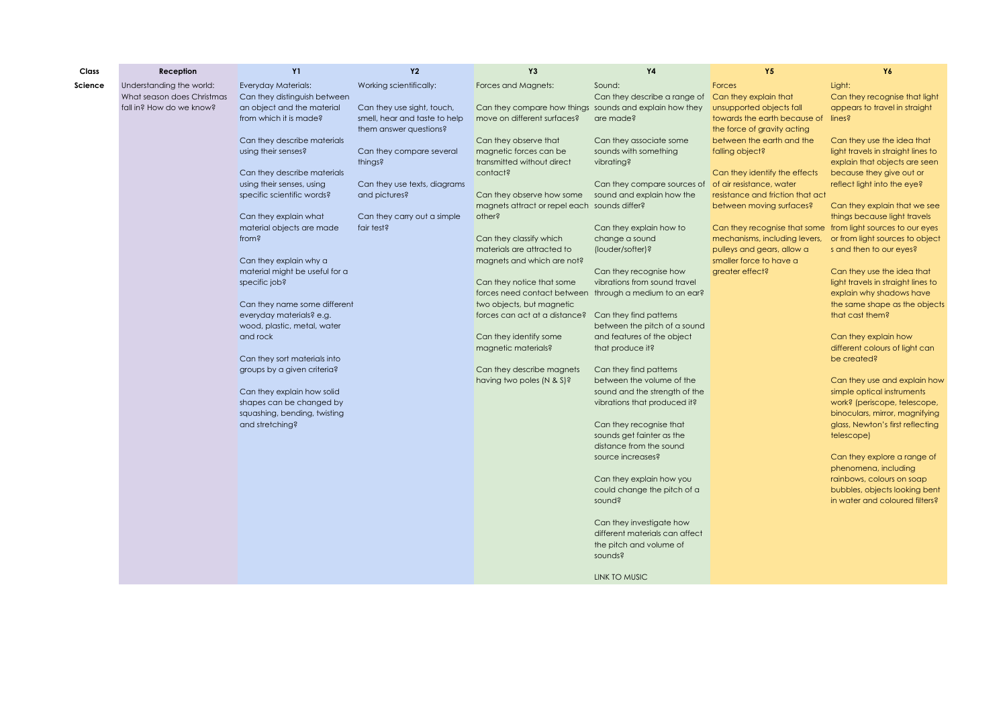| Class   | Reception                  | <b>Y1</b>                          | <b>Y2</b>                     | Y3                                                      | <b>Y4</b>                                            | <b>Y5</b>                                                                                    | Y6                                             |
|---------|----------------------------|------------------------------------|-------------------------------|---------------------------------------------------------|------------------------------------------------------|----------------------------------------------------------------------------------------------|------------------------------------------------|
| Science | Understanding the world:   | Everyday Materials:                | Working scientifically:       | Forces and Magnets:                                     | Sound:                                               | Forces                                                                                       | Light:                                         |
|         | What season does Christmas | Can they distinguish between       |                               |                                                         | Can they describe a range of                         | Can they explain that                                                                        | Can they recognise that light                  |
|         | fall in? How do we know?   | an object and the material         | Can they use sight, touch,    | Can they compare how things sounds and explain how they |                                                      | unsupported objects fall                                                                     | appears to travel in straight                  |
|         |                            | from which it is made?             | smell, hear and taste to help | move on different surfaces?                             | are made?                                            | towards the earth because of lines?                                                          |                                                |
|         |                            |                                    | them answer questions?        |                                                         |                                                      | the force of gravity acting                                                                  |                                                |
|         |                            | Can they describe materials        |                               | Can they observe that                                   | Can they associate some                              | between the earth and the                                                                    | Can they use the idea that                     |
|         |                            | using their senses?                | Can they compare several      | magnetic forces can be                                  | sounds with something                                | falling object?                                                                              | light travels in straight lines to             |
|         |                            |                                    | things?                       | transmitted without direct                              | vibrating?                                           |                                                                                              | explain that objects are seen                  |
|         |                            | Can they describe materials        |                               | contact?                                                |                                                      | Can they identify the effects                                                                | because they give out or                       |
|         |                            | using their senses, using          | Can they use texts, diagrams  |                                                         | Can they compare sources of                          | of air resistance, water                                                                     | reflect light into the eye?                    |
|         |                            | specific scientific words?         | and pictures?                 | Can they observe how some                               | sound and explain how the                            | resistance and friction that act                                                             |                                                |
|         |                            |                                    |                               | magnets attract or repel each sounds differ?            |                                                      | between moving surfaces?                                                                     | Can they explain that we see                   |
|         |                            | Can they explain what              | Can they carry out a simple   | other?                                                  |                                                      |                                                                                              | things because light travels                   |
|         |                            | material objects are made<br>from? | fair test?                    | Can they classify which                                 | Can they explain how to<br>change a sound            | Can they recognise that some from light sources to our eyes<br>mechanisms, including levers, | or from light sources to object                |
|         |                            |                                    |                               | materials are attracted to                              | (louder/softer)?                                     | pulleys and gears, allow a                                                                   | s and then to our eyes?                        |
|         |                            | Can they explain why a             |                               | magnets and which are not?                              |                                                      | smaller force to have a                                                                      |                                                |
|         |                            | material might be useful for a     |                               |                                                         | Can they recognise how                               | greater effect?                                                                              | Can they use the idea that                     |
|         |                            | specific job?                      |                               | Can they notice that some                               | vibrations from sound travel                         |                                                                                              | light travels in straight lines to             |
|         |                            |                                    |                               | forces need contact between through a medium to an ear? |                                                      |                                                                                              | explain why shadows have                       |
|         |                            | Can they name some different       |                               | two objects, but magnetic                               |                                                      |                                                                                              | the same shape as the objects                  |
|         |                            | everyday materials? e.g.           |                               | forces can act at a distance?                           | Can they find patterns                               |                                                                                              | that cast them?                                |
|         |                            | wood, plastic, metal, water        |                               |                                                         | between the pitch of a sound                         |                                                                                              |                                                |
|         |                            | and rock                           |                               | Can they identify some                                  | and features of the object                           |                                                                                              | Can they explain how                           |
|         |                            |                                    |                               | magnetic materials?                                     | that produce it?                                     |                                                                                              | different colours of light can                 |
|         |                            | Can they sort materials into       |                               |                                                         |                                                      |                                                                                              | be created?                                    |
|         |                            | groups by a given criteria?        |                               | Can they describe magnets                               | Can they find patterns                               |                                                                                              |                                                |
|         |                            |                                    |                               | having two poles (N & S)?                               | between the volume of the                            |                                                                                              | Can they use and explain how                   |
|         |                            | Can they explain how solid         |                               |                                                         | sound and the strength of the                        |                                                                                              | simple optical instruments                     |
|         |                            | shapes can be changed by           |                               |                                                         | vibrations that produced it?                         |                                                                                              | work? (periscope, telescope,                   |
|         |                            | squashing, bending, twisting       |                               |                                                         |                                                      |                                                                                              | binoculars, mirror, magnifying                 |
|         |                            | and stretching?                    |                               |                                                         | Can they recognise that<br>sounds get fainter as the |                                                                                              | glass, Newton's first reflecting<br>telescope) |
|         |                            |                                    |                               |                                                         | distance from the sound                              |                                                                                              |                                                |
|         |                            |                                    |                               |                                                         | source increases?                                    |                                                                                              | Can they explore a range of                    |
|         |                            |                                    |                               |                                                         |                                                      |                                                                                              | phenomena, including                           |
|         |                            |                                    |                               |                                                         | Can they explain how you                             |                                                                                              | rainbows, colours on soap                      |
|         |                            |                                    |                               |                                                         | could change the pitch of a                          |                                                                                              | bubbles, objects looking bent                  |
|         |                            |                                    |                               |                                                         | sound?                                               |                                                                                              | in water and coloured filters?                 |
|         |                            |                                    |                               |                                                         |                                                      |                                                                                              |                                                |
|         |                            |                                    |                               |                                                         | Can they investigate how                             |                                                                                              |                                                |
|         |                            |                                    |                               |                                                         | different materials can affect                       |                                                                                              |                                                |
|         |                            |                                    |                               |                                                         | the pitch and volume of                              |                                                                                              |                                                |
|         |                            |                                    |                               |                                                         | sounds?                                              |                                                                                              |                                                |
|         |                            |                                    |                               |                                                         |                                                      |                                                                                              |                                                |
|         |                            |                                    |                               |                                                         | <b>LINK TO MUSIC</b>                                 |                                                                                              |                                                |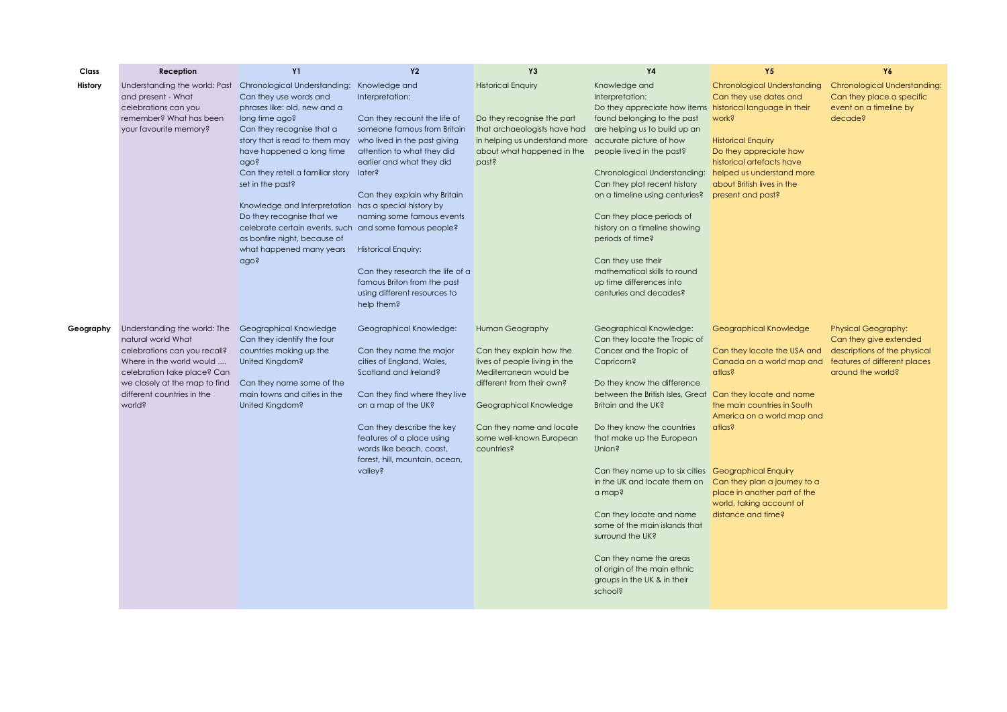| Class     | Reception                                                   | <b>Y1</b>                                                                          | <b>Y2</b>                                                   | Y3                                                         | <b>Y4</b>                                                                                  | <b>Y5</b>                    | Y6                                  |
|-----------|-------------------------------------------------------------|------------------------------------------------------------------------------------|-------------------------------------------------------------|------------------------------------------------------------|--------------------------------------------------------------------------------------------|------------------------------|-------------------------------------|
| History   | Understanding the world: Past                               | Chronological Understanding: Knowledge and                                         |                                                             | <b>Historical Enquiry</b>                                  | Knowledge and                                                                              | Chronological Understanding  | <b>Chronological Understanding:</b> |
|           | and present - What                                          | Can they use words and                                                             | Interpretation:                                             |                                                            | Interpretation:                                                                            | Can they use dates and       | Can they place a specific           |
|           | celebrations can you                                        | phrases like: old, new and a                                                       |                                                             |                                                            | Do they appreciate how items                                                               | historical language in their | event on a timeline by              |
|           | remember? What has been<br>your favourite memory?           | long time ago?<br>Can they recognise that a                                        | Can they recount the life of<br>someone famous from Britain | Do they recognise the part<br>that archaeologists have had | found belonging to the past<br>are helping us to build up an                               | work?                        | decade?                             |
|           |                                                             | story that is read to them may                                                     | who lived in the past giving                                | in helping us understand more                              | accurate picture of how                                                                    | <b>Historical Enquiry</b>    |                                     |
|           |                                                             | have happened a long time                                                          | attention to what they did                                  | about what happened in the                                 | people lived in the past?                                                                  | Do they appreciate how       |                                     |
|           |                                                             | ago?                                                                               | earlier and what they did                                   | past?                                                      |                                                                                            | historical artefacts have    |                                     |
|           |                                                             | Can they retell a familiar story later?                                            |                                                             |                                                            | Chronological Understanding:                                                               | helped us understand more    |                                     |
|           |                                                             | set in the past?                                                                   |                                                             |                                                            | Can they plot recent history                                                               | about British lives in the   |                                     |
|           |                                                             |                                                                                    | Can they explain why Britain                                |                                                            | on a timeline using centuries?                                                             | present and past?            |                                     |
|           |                                                             | Knowledge and Interpretation has a special history by<br>Do they recognise that we | naming some famous events                                   |                                                            | Can they place periods of                                                                  |                              |                                     |
|           |                                                             | celebrate certain events, such and some famous people?                             |                                                             |                                                            | history on a timeline showing                                                              |                              |                                     |
|           |                                                             | as bonfire night, because of                                                       |                                                             |                                                            | periods of time?                                                                           |                              |                                     |
|           |                                                             | what happened many years                                                           | <b>Historical Enquiry:</b>                                  |                                                            |                                                                                            |                              |                                     |
|           |                                                             | ago?                                                                               |                                                             |                                                            | Can they use their                                                                         |                              |                                     |
|           |                                                             |                                                                                    | Can they research the life of a                             |                                                            | mathematical skills to round                                                               |                              |                                     |
|           |                                                             |                                                                                    | famous Briton from the past                                 |                                                            | up time differences into                                                                   |                              |                                     |
|           |                                                             |                                                                                    | using different resources to<br>help them?                  |                                                            | centuries and decades?                                                                     |                              |                                     |
|           |                                                             |                                                                                    |                                                             |                                                            |                                                                                            |                              |                                     |
| Geography | Understanding the world: The                                | Geographical Knowledge                                                             | Geographical Knowledge:                                     | Human Geography                                            | Geographical Knowledge:                                                                    | Geographical Knowledge       | <b>Physical Geography:</b>          |
|           | natural world What                                          | Can they identify the four                                                         |                                                             |                                                            | Can they locate the Tropic of                                                              |                              | Can they give extended              |
|           | celebrations can you recall?                                | countries making up the                                                            | Can they name the major                                     | Can they explain how the                                   | Cancer and the Tropic of                                                                   | Can they locate the USA and  | descriptions of the physical        |
|           | Where in the world would                                    | United Kingdom?                                                                    | cities of England, Wales,                                   | lives of people living in the                              | Capricorn?                                                                                 | Canada on a world map and    | features of different places        |
|           | celebration take place? Can                                 |                                                                                    | Scotland and Ireland?                                       | Mediterranean would be                                     |                                                                                            | atlas?                       | around the world?                   |
|           | we closely at the map to find<br>different countries in the | Can they name some of the<br>main towns and cities in the                          |                                                             | different from their own?                                  | Do they know the difference                                                                |                              |                                     |
|           | world?                                                      | United Kingdom?                                                                    | Can they find where they live<br>on a map of the UK?        | Geographical Knowledge                                     | between the British Isles, Great Can they locate and name<br>Britain and the UK?           | the main countries in South  |                                     |
|           |                                                             |                                                                                    |                                                             |                                                            |                                                                                            | America on a world map and   |                                     |
|           |                                                             |                                                                                    | Can they describe the key                                   | Can they name and locate                                   | Do they know the countries                                                                 | atlas?                       |                                     |
|           |                                                             |                                                                                    | features of a place using                                   | some well-known European                                   | that make up the European                                                                  |                              |                                     |
|           |                                                             |                                                                                    | words like beach, coast,                                    | countries?                                                 | Union?                                                                                     |                              |                                     |
|           |                                                             |                                                                                    | forest, hill, mountain, ocean,                              |                                                            |                                                                                            |                              |                                     |
|           |                                                             |                                                                                    | valley?                                                     |                                                            | Can they name up to six cities <b>Geographical Enquiry</b><br>in the UK and locate them on | Can they plan a journey to a |                                     |
|           |                                                             |                                                                                    |                                                             |                                                            | a map?                                                                                     | place in another part of the |                                     |
|           |                                                             |                                                                                    |                                                             |                                                            |                                                                                            | world, taking account of     |                                     |
|           |                                                             |                                                                                    |                                                             |                                                            | Can they locate and name                                                                   | distance and time?           |                                     |
|           |                                                             |                                                                                    |                                                             |                                                            | some of the main islands that                                                              |                              |                                     |
|           |                                                             |                                                                                    |                                                             |                                                            | surround the UK?                                                                           |                              |                                     |
|           |                                                             |                                                                                    |                                                             |                                                            | Can they name the areas                                                                    |                              |                                     |
|           |                                                             |                                                                                    |                                                             |                                                            | of origin of the main ethnic                                                               |                              |                                     |
|           |                                                             |                                                                                    |                                                             |                                                            | groups in the UK & in their                                                                |                              |                                     |
|           |                                                             |                                                                                    |                                                             |                                                            | school?                                                                                    |                              |                                     |
|           |                                                             |                                                                                    |                                                             |                                                            |                                                                                            |                              |                                     |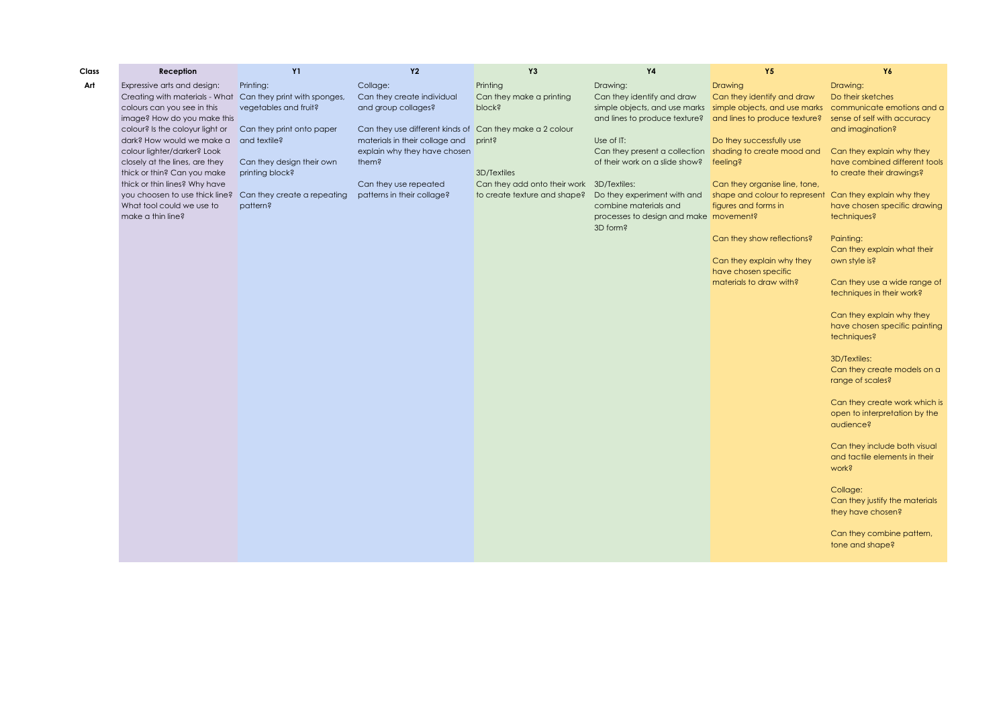| Class | Reception                                                  | <b>Y1</b>                    | Y2                                                       | Y3                                        | Υ4                                                          | Υ5                            | Y6                                                  |
|-------|------------------------------------------------------------|------------------------------|----------------------------------------------------------|-------------------------------------------|-------------------------------------------------------------|-------------------------------|-----------------------------------------------------|
| Art   | Expressive arts and design:                                | Printing:                    | Collage:                                                 | Printing                                  | Drawing:                                                    | <b>Drawing</b>                | Drawing:                                            |
|       | Creating with materials - What                             | Can they print with sponges, | Can they create individual                               | Can they make a printing                  | Can they identify and draw                                  | Can they identify and draw    | Do their sketches                                   |
|       | colours can you see in this                                | vegetables and fruit?        | and group collages?                                      | plock?                                    | simple objects, and use marks simple objects, and use marks |                               | communicate emotions and a                          |
|       | image? How do you make this                                |                              |                                                          |                                           | and lines to produce texture?                               | and lines to produce texture? | sense of self with accuracy                         |
|       | colour? Is the coloyur light or                            | Can they print onto paper    | Can they use different kinds of Can they make a 2 colour |                                           |                                                             |                               | and imagination?                                    |
|       | dark? How would we make a                                  | and textile?                 | materials in their collage and print?                    |                                           | Use of IT:                                                  | Do they successfully use      |                                                     |
|       | colour lighter/darker? Look                                |                              | explain why they have chosen                             |                                           | Can they present a collection shading to create mood and    |                               | Can they explain why they                           |
|       | closely at the lines, are they                             | Can they design their own    | them?                                                    |                                           | of their work on a slide show?                              | feeling?                      | have combined different tools                       |
|       | thick or thin? Can you make                                | printing block?              |                                                          | 3D/Textiles                               |                                                             |                               | to create their drawings?                           |
|       | thick or thin lines? Why have                              |                              | Can they use repeated                                    | Can they add onto their work 3D/Textiles: |                                                             | Can they organise line, tone, |                                                     |
|       | you choosen to use thick line? Can they create a repeating |                              | patterns in their collage?                               | to create texture and shape?              | Do they experiment with and                                 | shape and colour to represent | Can they explain why they                           |
|       | What tool could we use to                                  | pattern?                     |                                                          |                                           | combine materials and                                       | figures and forms in          | have chosen specific drawing                        |
|       | make a thin line?                                          |                              |                                                          |                                           | processes to design and make movement?                      |                               | techniques?                                         |
|       |                                                            |                              |                                                          |                                           | 3D form?                                                    |                               |                                                     |
|       |                                                            |                              |                                                          |                                           |                                                             | Can they show reflections?    | Painting:                                           |
|       |                                                            |                              |                                                          |                                           |                                                             |                               | Can they explain what their                         |
|       |                                                            |                              |                                                          |                                           |                                                             | Can they explain why they     | own style is?                                       |
|       |                                                            |                              |                                                          |                                           |                                                             | have chosen specific          |                                                     |
|       |                                                            |                              |                                                          |                                           |                                                             | materials to draw with?       | Can they use a wide range of                        |
|       |                                                            |                              |                                                          |                                           |                                                             |                               | techniques in their work?                           |
|       |                                                            |                              |                                                          |                                           |                                                             |                               | Can they explain why they                           |
|       |                                                            |                              |                                                          |                                           |                                                             |                               | have chosen specific painting                       |
|       |                                                            |                              |                                                          |                                           |                                                             |                               | techniques?                                         |
|       |                                                            |                              |                                                          |                                           |                                                             |                               |                                                     |
|       |                                                            |                              |                                                          |                                           |                                                             |                               | 3D/Textiles:                                        |
|       |                                                            |                              |                                                          |                                           |                                                             |                               | Can they create models on a                         |
|       |                                                            |                              |                                                          |                                           |                                                             |                               | range of scales?                                    |
|       |                                                            |                              |                                                          |                                           |                                                             |                               |                                                     |
|       |                                                            |                              |                                                          |                                           |                                                             |                               | Can they create work which is                       |
|       |                                                            |                              |                                                          |                                           |                                                             |                               | open to interpretation by the                       |
|       |                                                            |                              |                                                          |                                           |                                                             |                               | qudience?                                           |
|       |                                                            |                              |                                                          |                                           |                                                             |                               |                                                     |
|       |                                                            |                              |                                                          |                                           |                                                             |                               | Can they include both visual                        |
|       |                                                            |                              |                                                          |                                           |                                                             |                               | and tactile elements in their                       |
|       |                                                            |                              |                                                          |                                           |                                                             |                               | work?                                               |
|       |                                                            |                              |                                                          |                                           |                                                             |                               |                                                     |
|       |                                                            |                              |                                                          |                                           |                                                             |                               | Collage:                                            |
|       |                                                            |                              |                                                          |                                           |                                                             |                               | Can they justify the materials<br>they have chosen? |
|       |                                                            |                              |                                                          |                                           |                                                             |                               |                                                     |
|       |                                                            |                              |                                                          |                                           |                                                             |                               | Can they combine pattern,                           |
|       |                                                            |                              |                                                          |                                           |                                                             |                               | tone and shape?                                     |
|       |                                                            |                              |                                                          |                                           |                                                             |                               |                                                     |
|       |                                                            |                              |                                                          |                                           |                                                             |                               |                                                     |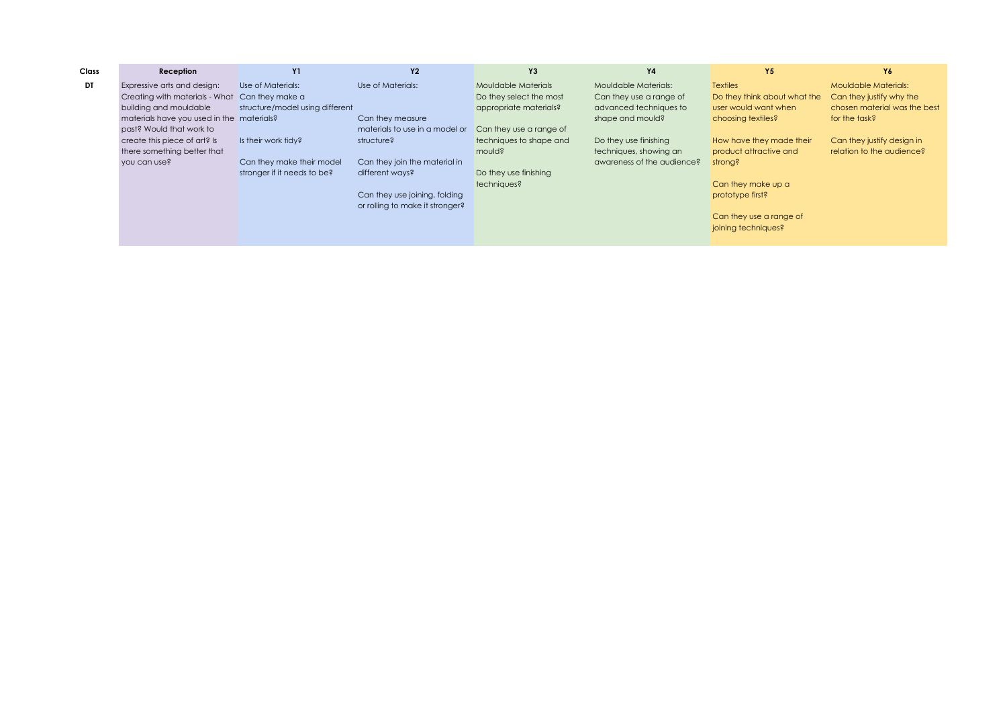| Class | Reception                                 | <b>Y1</b>                       | <b>Y2</b>                       | Y3                      | <b>Y4</b>                  | Y5                           | Y6                           |
|-------|-------------------------------------------|---------------------------------|---------------------------------|-------------------------|----------------------------|------------------------------|------------------------------|
| DT    | Expressive arts and design:               | Use of Materials:               | Use of Materials:               | Mouldable Materials     | Mouldable Materials:       | <b>Textiles</b>              | <b>Mouldable Materials:</b>  |
|       | Creating with materials - What            | Can they make a                 |                                 | Do they select the most | Can they use a range of    | Do they think about what the | Can they justify why the     |
|       | building and mouldable                    | structure/model using different |                                 | appropriate materials?  | advanced techniques to     | user would want when         | chosen material was the best |
|       | materials have you used in the materials? |                                 | Can they measure                |                         | shape and mould?           | choosing textiles?           | for the task?                |
|       | past? Would that work to                  |                                 | materials to use in a model or  | Can they use a range of |                            |                              |                              |
|       | create this piece of art? Is              | Is their work tidy?             | structure?                      | techniques to shape and | Do they use finishing      | How have they made their     | Can they justify design in   |
|       | there something better that               |                                 |                                 | mould?                  | techniques, showing an     | product attractive and       | relation to the audience?    |
|       | you can use?                              | Can they make their model       | Can they join the material in   |                         | awareness of the audience? | strong?                      |                              |
|       |                                           | stronger if it needs to be?     | different wavs?                 | Do they use finishing   |                            |                              |                              |
|       |                                           |                                 |                                 | techniques?             |                            | Can they make up a           |                              |
|       |                                           |                                 | Can they use joining, folding   |                         |                            | prototype first?             |                              |
|       |                                           |                                 | or rolling to make it stronger? |                         |                            |                              |                              |
|       |                                           |                                 |                                 |                         |                            | Can they use a range of      |                              |
|       |                                           |                                 |                                 |                         |                            | joining techniques?          |                              |
|       |                                           |                                 |                                 |                         |                            |                              |                              |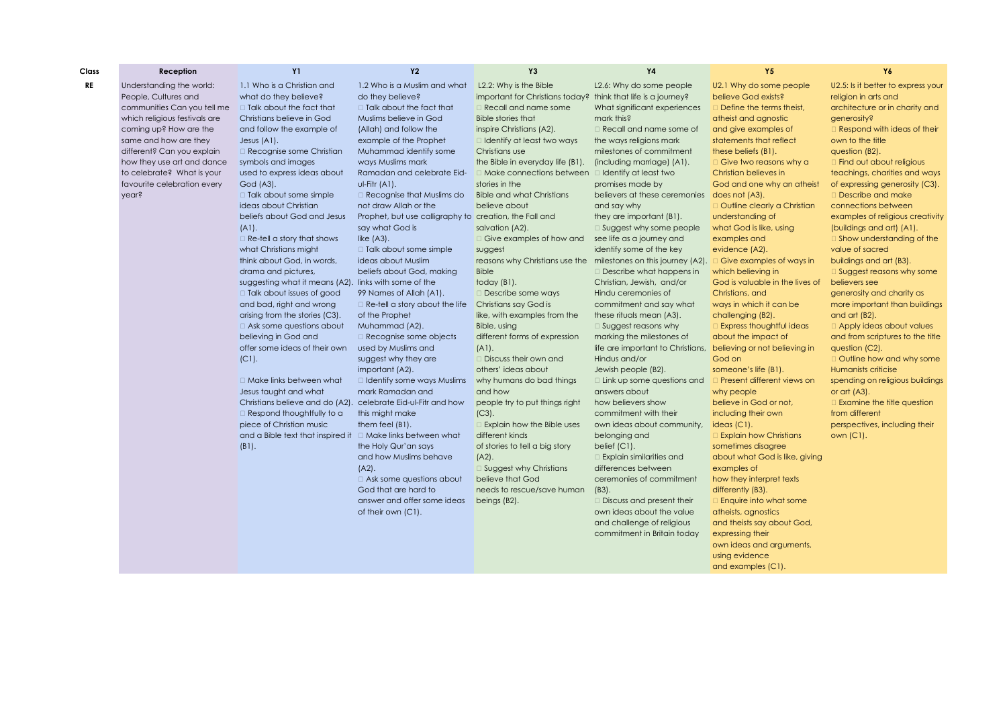| Class     | Reception                                                                       | <b>Y1</b>                                                                              | <b>Y2</b>                                                                           | Y3                                                                                                                     | <b>Y4</b>                                                       | Y5                                                                                | Y6                                                                                           |
|-----------|---------------------------------------------------------------------------------|----------------------------------------------------------------------------------------|-------------------------------------------------------------------------------------|------------------------------------------------------------------------------------------------------------------------|-----------------------------------------------------------------|-----------------------------------------------------------------------------------|----------------------------------------------------------------------------------------------|
| <b>RE</b> | Understanding the world:<br>People, Cultures and<br>communities Can you tell me | 1.1 Who is a Christian and<br>what do they believe?<br>$\Box$ Talk about the fact that | 1.2 Who is a Muslim and what<br>do they believe?<br>$\Box$ Talk about the fact that | L2.2: Why is the Bible<br>important for Christians today? think that life is a journey?<br>$\Box$ Recall and name some | L2.6: Why do some people<br>What significant experiences        | U2.1 Why do some people<br>believe God exists?<br>$\Box$ Define the terms theist, | U2.5: Is it better to express your<br>religion in arts and<br>architecture or in charity and |
|           | which religious festivals are                                                   | Christians believe in God                                                              | Muslims believe in God                                                              | <b>Bible stories that</b>                                                                                              | mark this?                                                      | atheist and agnostic                                                              | generosity?                                                                                  |
|           | coming up? How are the<br>same and how are they                                 | and follow the example of<br>Jesus $(A1)$ .                                            | (Allah) and follow the<br>example of the Prophet                                    | inspire Christians (A2).<br>$\Box$ Identify at least two ways                                                          | Recall and name some of<br>the ways religions mark              | and give examples of<br>statements that reflect                                   | Respond with ideas of their<br>own to the title                                              |
|           | different? Can you explain                                                      | $\Box$ Recognise some Christian                                                        | Muhammad identify some                                                              | Christians use                                                                                                         | milestones of commitment                                        | these beliefs (B1).                                                               | question (B2).                                                                               |
|           | how they use art and dance                                                      | symbols and images                                                                     | ways Muslims mark                                                                   | the Bible in everyday life (B1).                                                                                       | (including marriage) (A1).                                      | $\Box$ Give two reasons why a                                                     | □ Find out about religious                                                                   |
|           | to celebrate? What is your                                                      | used to express ideas about                                                            | Ramadan and celebrate Eid-                                                          | $\Box$ Make connections between                                                                                        | $\Box$ Identify at least two                                    | Christian believes in                                                             | teachings, charities and ways                                                                |
|           | favourite celebration every                                                     | God (A3).                                                                              | $U$ -Fitr $(A1)$ .                                                                  | stories in the                                                                                                         | promises made by                                                | God and one why an atheist                                                        | of expressing generosity (C3).                                                               |
|           | year?                                                                           | □ Talk about some simple                                                               | $\Box$ Recognise that Muslims do                                                    | <b>Bible and what Christians</b>                                                                                       | believers at these ceremonies                                   | does not (A3).                                                                    | Describe and make                                                                            |
|           |                                                                                 | ideas about Christian                                                                  | not draw Allah or the                                                               | believe about                                                                                                          | and say why                                                     | □ Outline clearly a Christian                                                     | connections between                                                                          |
|           |                                                                                 | beliefs about God and Jesus                                                            | Prophet, but use calligraphy to creation, the Fall and                              |                                                                                                                        | they are important (B1).                                        | understanding of                                                                  | examples of religious creativity                                                             |
|           |                                                                                 | $(A1)$ .<br>$\Box$ Re-tell a story that shows                                          | say what God is<br>like $(A3)$ .                                                    | salvation (A2).<br>$\Box$ Give examples of how and                                                                     | $\Box$ Suggest why some people<br>see life as a journey and     | what God is like, using<br>examples and                                           | (buildings and art) (A1).<br>$\Box$ Show understanding of the                                |
|           |                                                                                 | what Christians might                                                                  | □ Talk about some simple                                                            | suggest                                                                                                                | identify some of the key                                        | evidence (A2).                                                                    | value of sacred                                                                              |
|           |                                                                                 | think about God, in words,                                                             | ideas about Muslim                                                                  |                                                                                                                        | reasons why Christians use the milestones on this journey (A2). | $\Box$ Give examples of ways in                                                   | buildings and art (B3).                                                                      |
|           |                                                                                 | drama and pictures,                                                                    | beliefs about God, making                                                           | <b>Bible</b>                                                                                                           | Describe what happens in                                        | which believing in                                                                | $\Box$ Suggest reasons why some                                                              |
|           |                                                                                 | suggesting what it means (A2). links with some of the                                  |                                                                                     | today (B1).                                                                                                            | Christian, Jewish, and/or                                       | God is valuable in the lives of                                                   | believers see                                                                                |
|           |                                                                                 | $\Box$ Talk about issues of good                                                       | 99 Names of Allah (A1).                                                             | $\Box$ Describe some ways                                                                                              | Hindu ceremonies of                                             | Christians, and                                                                   | generosity and charity as                                                                    |
|           |                                                                                 | and bad, right and wrong                                                               | $\Box$ Re-tell a story about the life                                               | Christians say God is                                                                                                  | commitment and say what                                         | ways in which it can be                                                           | more important than buildings                                                                |
|           |                                                                                 | arising from the stories (C3).                                                         | of the Prophet                                                                      | like, with examples from the                                                                                           | these rituals mean (A3).                                        | challenging (B2).                                                                 | and $art$ (B2).                                                                              |
|           |                                                                                 | $\Box$ Ask some questions about                                                        | Muhammad (A2).                                                                      | Bible, using                                                                                                           | $\Box$ Suggest reasons why                                      | □ Express thoughtful ideas                                                        | $\Box$ Apply ideas about values                                                              |
|           |                                                                                 | believing in God and                                                                   | $\Box$ Recognise some objects                                                       | different forms of expression                                                                                          | marking the milestones of                                       | about the impact of                                                               | and from scriptures to the title                                                             |
|           |                                                                                 | offer some ideas of their own                                                          | used by Muslims and<br>suggest why they are                                         | $(A1)$ .                                                                                                               | life are important to Christians, believing or not believing in |                                                                                   | question (C2).                                                                               |
|           |                                                                                 | $(C1)$ .                                                                               |                                                                                     | Discuss their own and                                                                                                  | Hindus and/or                                                   | God on                                                                            | □ Outline how and why some                                                                   |
|           |                                                                                 | □ Make links between what                                                              | important (A2).<br>$\Box$ Identify some ways Muslims                                | others' ideas about<br>why humans do bad things                                                                        | Jewish people (B2).                                             | someone's life (B1).<br>□ Present different views on                              | Humanists criticise                                                                          |
|           |                                                                                 | Jesus taught and what                                                                  | mark Ramadan and                                                                    | and how                                                                                                                | $\Box$ Link up some questions and<br>answers about              | why people                                                                        | spending on religious buildings<br>or $art (A3)$ .                                           |
|           |                                                                                 | Christians believe and do (A2).                                                        | celebrate Eid-ul-Fitr and how                                                       | people try to put things right                                                                                         | how believers show                                              | believe in God or not,                                                            | $\Box$ Examine the title question                                                            |
|           |                                                                                 | $\Box$ Respond thoughtfully to a                                                       | this might make                                                                     | $(C3)$ .                                                                                                               | commitment with their                                           | including their own                                                               | from different                                                                               |
|           |                                                                                 | piece of Christian music                                                               | them feel (B1).                                                                     | $\Box$ Explain how the Bible uses                                                                                      | own ideas about community,                                      | ideas $(C1)$ .                                                                    | perspectives, including their                                                                |
|           |                                                                                 | and a Bible text that inspired it $\Box$ Make links between what                       |                                                                                     | different kinds                                                                                                        | belonging and                                                   | <b>Explain how Christians</b>                                                     | own (C1).                                                                                    |
|           |                                                                                 | $(B1)$ .                                                                               | the Holy Qur'an says                                                                | of stories to tell a big story                                                                                         | belief $(C1)$ .                                                 | sometimes disagree                                                                |                                                                                              |
|           |                                                                                 |                                                                                        | and how Muslims behave                                                              | $(A2)$ .                                                                                                               | $\Box$ Explain similarities and                                 | about what God is like, giving                                                    |                                                                                              |
|           |                                                                                 |                                                                                        | $(A2)$ .                                                                            | □ Suggest why Christians                                                                                               | differences between                                             | examples of                                                                       |                                                                                              |
|           |                                                                                 |                                                                                        | $\Box$ Ask some questions about                                                     | believe that God                                                                                                       | ceremonies of commitment                                        | how they interpret texts                                                          |                                                                                              |
|           |                                                                                 |                                                                                        | God that are hard to                                                                | needs to rescue/save human                                                                                             | $(B3)$ .                                                        | differently (B3).                                                                 |                                                                                              |
|           |                                                                                 |                                                                                        | answer and offer some ideas                                                         | beings (B2).                                                                                                           | $\Box$ Discuss and present their                                | $\Box$ Enquire into what some                                                     |                                                                                              |
|           |                                                                                 |                                                                                        | of their own (C1).                                                                  |                                                                                                                        | own ideas about the value                                       | atheists, agnostics                                                               |                                                                                              |
|           |                                                                                 |                                                                                        |                                                                                     |                                                                                                                        | and challenge of religious<br>commitment in Britain today       | and theists say about God,<br>expressing their                                    |                                                                                              |
|           |                                                                                 |                                                                                        |                                                                                     |                                                                                                                        |                                                                 | own ideas and arguments,                                                          |                                                                                              |
|           |                                                                                 |                                                                                        |                                                                                     |                                                                                                                        |                                                                 | using evidence                                                                    |                                                                                              |

and examples (C1).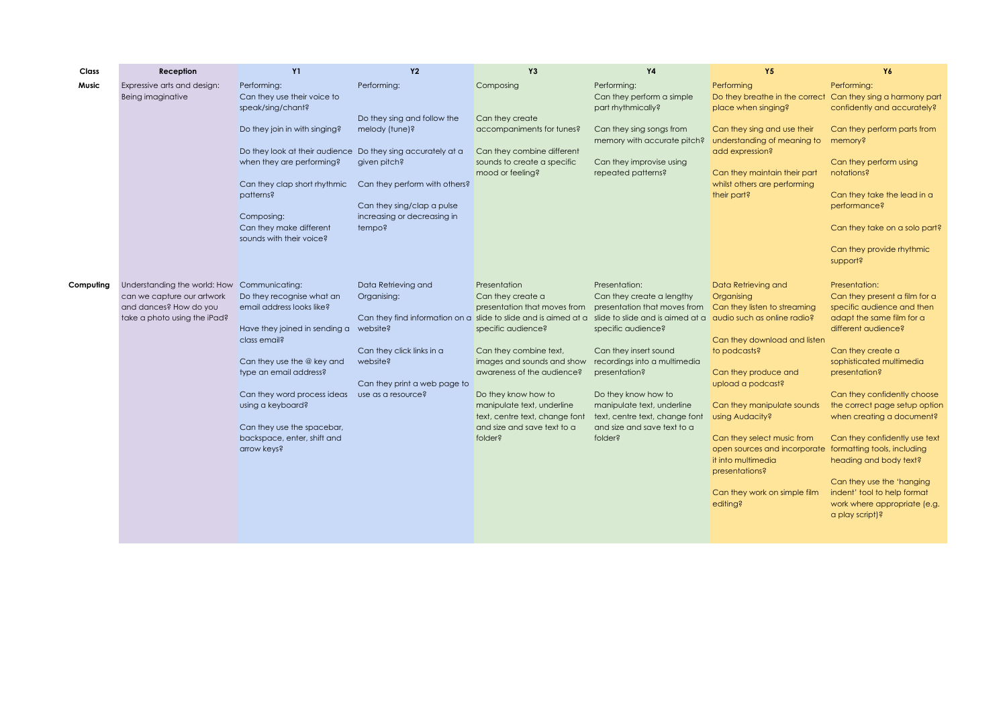| Class        | Reception                    | <b>Y1</b>                                                                                | <b>Y2</b>                                                       | Y3                                                           | <b>Y4</b>                                                    | <b>Y5</b>                                                                              | Y6                                                          |
|--------------|------------------------------|------------------------------------------------------------------------------------------|-----------------------------------------------------------------|--------------------------------------------------------------|--------------------------------------------------------------|----------------------------------------------------------------------------------------|-------------------------------------------------------------|
| <b>Music</b> | Expressive arts and design:  | Performing:                                                                              | Performing:                                                     | Composing                                                    | Performing:                                                  | Performina                                                                             | Performina:                                                 |
|              | Being imaginative            | Can they use their voice to<br>speak/sing/chant?                                         |                                                                 |                                                              | Can they perform a simple<br>part rhythmically?              | Do they breathe in the correct<br>place when singing?                                  | Can they sing a harmony part<br>confidently and accurately? |
|              |                              |                                                                                          | Do they sing and follow the                                     | Can they create                                              |                                                              |                                                                                        |                                                             |
|              |                              | Do they join in with singing?                                                            | melody (tune)?                                                  | accompaniments for tunes?                                    | Can they sing songs from<br>memory with accurate pitch?      | Can they sing and use their<br>understanding of meaning to                             | Can they perform parts from<br>memory?                      |
|              |                              | Do they look at their audience Do they sing accurately at a<br>when they are performing? | given pitch?                                                    | Can they combine different<br>sounds to create a specific    | Can they improvise using                                     | add expression?                                                                        | Can they perform using                                      |
|              |                              | Can they clap short rhythmic                                                             | Can they perform with others?                                   | mood or feeling?                                             | repeated patterns?                                           | Can they maintain their part<br>whilst others are performing                           | notations?                                                  |
|              |                              | patterns?                                                                                | Can they sing/clap a pulse                                      |                                                              |                                                              | their part?                                                                            | Can they take the lead in a<br>performance?                 |
|              |                              | Composing:                                                                               | increasing or decreasing in                                     |                                                              |                                                              |                                                                                        |                                                             |
|              |                              | Can they make different<br>sounds with their voice?                                      | tempo?                                                          |                                                              |                                                              |                                                                                        | Can they take on a solo part?                               |
|              |                              |                                                                                          |                                                                 |                                                              |                                                              |                                                                                        | Can they provide rhythmic<br>support?                       |
| Computing    | Understanding the world: How | Communicating:                                                                           | Data Retrieving and                                             | Presentation                                                 | Presentation:                                                | Data Retrieving and                                                                    | Presentation:                                               |
|              | can we capture our artwork   | Do they recognise what an                                                                | Organising:                                                     | Can they create a                                            | Can they create a lengthy                                    | Organising                                                                             | Can they present a film for a                               |
|              | and dances? How do you       | email address looks like?                                                                |                                                                 | presentation that moves from                                 | presentation that moves from                                 | Can they listen to streaming                                                           | specific audience and then                                  |
|              | take a photo using the iPad? |                                                                                          | Can they find information on a slide to slide and is aimed at a |                                                              | slide to slide and is aimed at a                             | audio such as online radio?                                                            | adapt the same film for a                                   |
|              |                              | Have they joined in sending a<br>class email?                                            | website?                                                        | specific audience?                                           | specific audience?                                           | Can they download and listen                                                           | different audience?                                         |
|              |                              |                                                                                          | Can they click links in a                                       | Can they combine text,                                       | Can they insert sound                                        | to podcasts?                                                                           | Can they create a                                           |
|              |                              | Can they use the @ key and                                                               | website?                                                        | images and sounds and show                                   | recordings into a multimedia                                 |                                                                                        | sophisticated multimedia                                    |
|              |                              | type an email address?                                                                   |                                                                 | awareness of the audience?                                   | presentation?                                                | Can they produce and                                                                   | presentation?                                               |
|              |                              |                                                                                          | Can they print a web page to                                    |                                                              |                                                              | upload a podcast?                                                                      |                                                             |
|              |                              | Can they word process ideas                                                              | use as a resource?                                              | Do they know how to                                          | Do they know how to                                          |                                                                                        | Can they confidently choose                                 |
|              |                              | using a keyboard?                                                                        |                                                                 | manipulate text, underline<br>text, centre text, change font | manipulate text, underline<br>text, centre text, change font | Can they manipulate sounds<br>using Audacity?                                          | the correct page setup option<br>when creating a document?  |
|              |                              | Can they use the spacebar,                                                               |                                                                 | and size and save text to a                                  | and size and save text to a                                  |                                                                                        |                                                             |
|              |                              | backspace, enter, shift and<br>arrow keys?                                               |                                                                 | folder?                                                      | folder?                                                      | Can they select music from<br>open sources and incorporate formatting tools, including | Can they confidently use text                               |
|              |                              |                                                                                          |                                                                 |                                                              |                                                              | it into multimedia                                                                     | heading and body text?                                      |
|              |                              |                                                                                          |                                                                 |                                                              |                                                              | presentations?                                                                         |                                                             |
|              |                              |                                                                                          |                                                                 |                                                              |                                                              |                                                                                        | Can they use the 'hanging                                   |
|              |                              |                                                                                          |                                                                 |                                                              |                                                              | Can they work on simple film                                                           | indent' tool to help format                                 |
|              |                              |                                                                                          |                                                                 |                                                              |                                                              | editing?                                                                               | work where appropriate (e.g.<br>a play script)?             |
|              |                              |                                                                                          |                                                                 |                                                              |                                                              |                                                                                        |                                                             |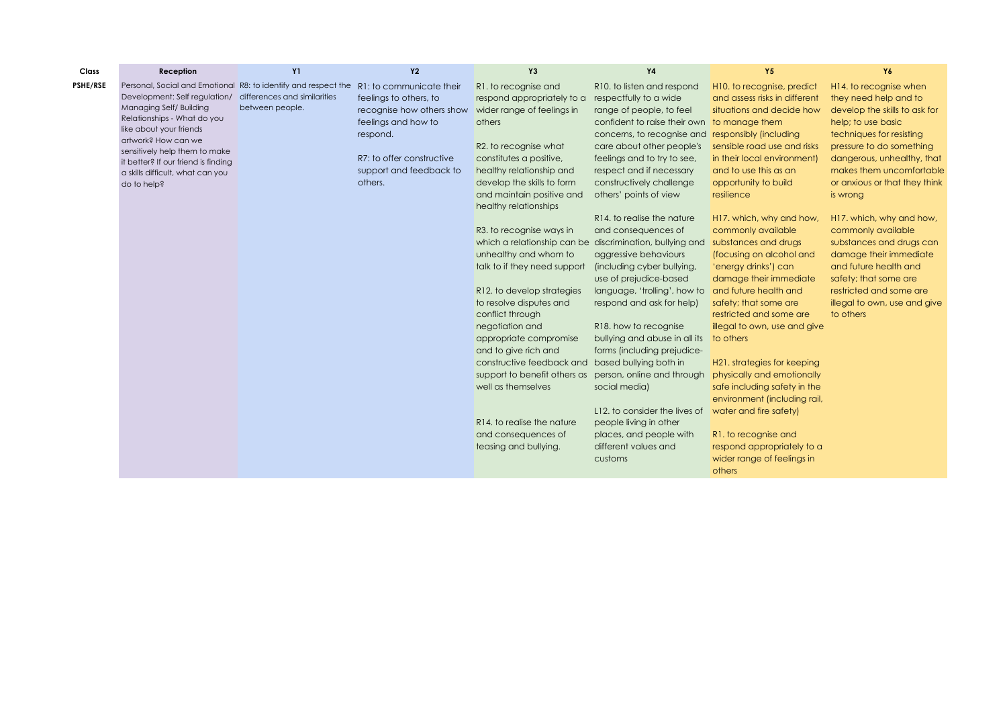| Class           | Reception                                                                                                                                                 | <b>Y1</b>                                       | <b>Y2</b>                                                                                              | Y3                                                                                                             | <b>Y4</b>                                                                                                        | Y5                                                                                                         | Y6                                                                                                     |
|-----------------|-----------------------------------------------------------------------------------------------------------------------------------------------------------|-------------------------------------------------|--------------------------------------------------------------------------------------------------------|----------------------------------------------------------------------------------------------------------------|------------------------------------------------------------------------------------------------------------------|------------------------------------------------------------------------------------------------------------|--------------------------------------------------------------------------------------------------------|
| <b>PSHE/RSE</b> | Personal, Social and Emotional R8: to identify and respect the<br>Development: Self regulation/<br>Managing Self/ Building<br>Relationships - What do you | differences and similarities<br>between people. | R1: to communicate their<br>feelings to others, to<br>recognise how others show<br>feelings and how to | R1. to recognise and<br>respond appropriately to a<br>wider range of feelings in<br>others                     | R10. to listen and respond<br>respectfully to a wide<br>range of people, to feel<br>confident to raise their own | H10. to recognise, predict<br>and assess risks in different<br>situations and decide how<br>to manage them | H14. to recognise when<br>they need help and to<br>develop the skills to ask for<br>help; to use basic |
|                 | like about your friends<br>artwork? How can we<br>sensitively help them to make                                                                           |                                                 | respond.                                                                                               | R2. to recognise what                                                                                          | concerns, to recognise and<br>care about other people's                                                          | responsibly (including<br>sensible road use and risks                                                      | techniques for resisting<br>pressure to do something                                                   |
|                 | it better? If our friend is finding<br>a skills difficult, what can you<br>do to help?                                                                    |                                                 | R7: to offer constructive<br>support and feedback to<br>others.                                        | constitutes a positive,<br>healthy relationship and<br>develop the skills to form<br>and maintain positive and | feelings and to try to see,<br>respect and if necessary<br>constructively challenge<br>others' points of view    | in their local environment)<br>and to use this as an<br>opportunity to build<br>resilience                 | dangerous, unhealthy, that<br>makes them uncomfortable<br>or anxious or that they think<br>is wrong    |
|                 |                                                                                                                                                           |                                                 |                                                                                                        | healthy relationships                                                                                          | R <sub>14</sub> , to realise the nature                                                                          | H17. which, why and how,                                                                                   | H17, which, why and how,                                                                               |
|                 |                                                                                                                                                           |                                                 |                                                                                                        | R3. to recognise ways in<br>which a relationship can be                                                        | and consequences of<br>discrimination, bullying and                                                              | commonly available<br>substances and drugs                                                                 | commonly available<br>substances and drugs can                                                         |
|                 |                                                                                                                                                           |                                                 |                                                                                                        | unhealthy and whom to<br>talk to if they need support                                                          | aggressive behaviours<br>(including cyber bullying,<br>use of prejudice-based                                    | (focusing on alcohol and<br>'energy drinks') can<br>damage their immediate                                 | damage their immediate<br>and future health and<br>safety; that some are                               |
|                 |                                                                                                                                                           |                                                 |                                                                                                        | R12, to develop strategies<br>to resolve disputes and<br>conflict through                                      | language, 'trolling', how to<br>respond and ask for help)                                                        | and future health and<br>safety; that some are<br>restricted and some are                                  | restricted and some are<br>illegal to own, use and give<br>to others                                   |
|                 |                                                                                                                                                           |                                                 |                                                                                                        | negotiation and<br>appropriate compromise                                                                      | R18, how to recognise<br>bullying and abuse in all its                                                           | illegal to own, use and give<br>to others                                                                  |                                                                                                        |
|                 |                                                                                                                                                           |                                                 |                                                                                                        | and to give rich and<br>constructive feedback and                                                              | forms (including prejudice-<br>based bullying both in                                                            | H21. strategies for keeping                                                                                |                                                                                                        |
|                 |                                                                                                                                                           |                                                 |                                                                                                        | support to benefit others as<br>well as themselves                                                             | person, online and through<br>social media)                                                                      | physically and emotionally<br>safe including safety in the<br>environment (including rail,                 |                                                                                                        |
|                 |                                                                                                                                                           |                                                 |                                                                                                        | R14, to realise the nature                                                                                     | L12, to consider the lives of<br>people living in other                                                          | water and fire safety)                                                                                     |                                                                                                        |
|                 |                                                                                                                                                           |                                                 |                                                                                                        | and consequences of<br>teasing and bullying.                                                                   | places, and people with<br>different values and<br>customs                                                       | R1. to recognise and<br>respond appropriately to a<br>wider range of feelings in                           |                                                                                                        |
|                 |                                                                                                                                                           |                                                 |                                                                                                        |                                                                                                                |                                                                                                                  | others                                                                                                     |                                                                                                        |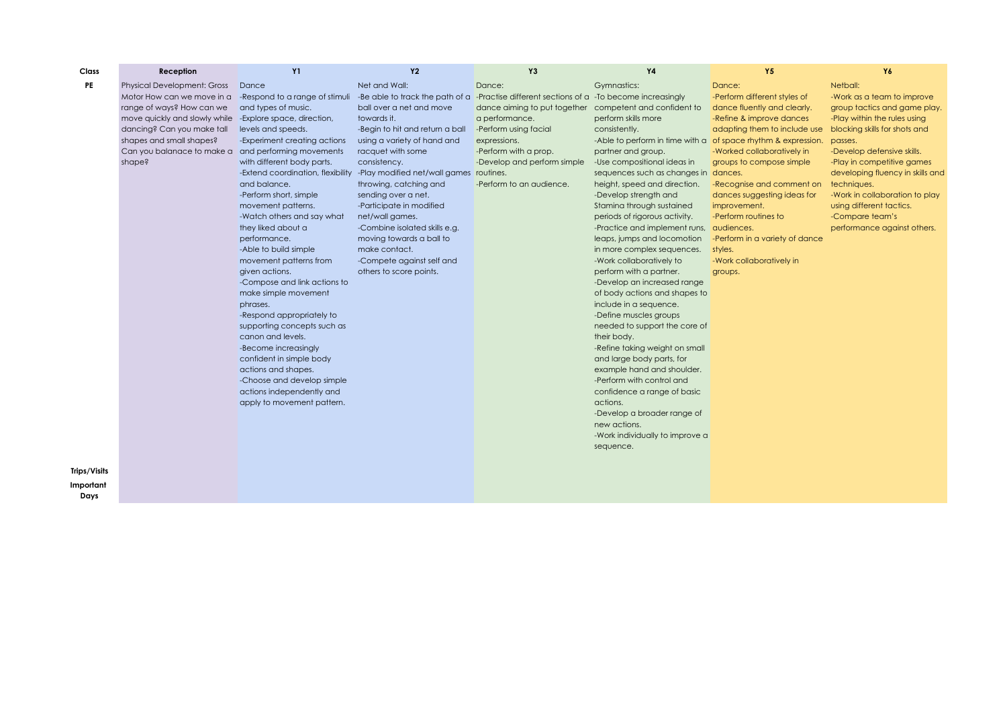| Class     | Reception                          | <b>Y1</b>                         | <b>Y2</b>                               | Y <sub>3</sub>                                                                              | <b>Y4</b>                                                     | Y5                             | Y6                               |
|-----------|------------------------------------|-----------------------------------|-----------------------------------------|---------------------------------------------------------------------------------------------|---------------------------------------------------------------|--------------------------------|----------------------------------|
| PE        | <b>Physical Development: Gross</b> | Dance                             | Net and Wall:                           | Dance:                                                                                      | Gymnastics:                                                   | Dance:                         | Netball:                         |
|           | Motor How can we move in a         | -Respond to a range of stimuli    |                                         | -Be able to track the path of a -Practise different sections of $a$ -To become increasingly |                                                               | -Perform different styles of   | -Work as a team to improve       |
|           | range of ways? How can we          | and types of music.               | ball over a net and move                | dance aiming to put together competent and confident to                                     |                                                               | dance fluently and clearly.    | group tactics and game play.     |
|           | move quickly and slowly while      | -Explore space, direction,        | towards it.                             | a performance.                                                                              | perform skills more                                           | -Refine & improve dances       | -Play within the rules using     |
|           | dancing? Can you make tall         | levels and speeds.                | -Begin to hit and return a ball         | -Perform using facial                                                                       | consistently.                                                 | adapting them to include use   | blocking skills for shots and    |
|           | shapes and small shapes?           | -Experiment creating actions      | using a variety of hand and             | expressions.                                                                                | -Able to perform in time with a of space rhythm & expression. |                                | passes.                          |
|           | Can you balanace to make a         | and performing movements          | racquet with some                       | -Perform with a prop.                                                                       | partner and group.                                            | -Worked collaboratively in     | -Develop defensive skills.       |
|           | shape?                             | with different body parts.        | consistency.                            | -Develop and perform simple                                                                 | -Use compositional ideas in                                   | groups to compose simple       | -Play in competitive games       |
|           |                                    | -Extend coordination, flexibility | -Play modified net/wall games routines. |                                                                                             | sequences such as changes in dances.                          |                                | developing fluency in skills and |
|           |                                    | and balance.                      | throwing, catching and                  | -Perform to an audience.                                                                    | height, speed and direction.                                  | -Recognise and comment on      | techniques.                      |
|           |                                    | -Perform short, simple            | sending over a net.                     |                                                                                             | -Develop strength and                                         | dances suggesting ideas for    | -Work in collaboration to play   |
|           |                                    | movement patterns.                | -Participate in modified                |                                                                                             | Stamina through sustained                                     | improvement.                   | using different tactics.         |
|           |                                    | -Watch others and say what        | net/wall games.                         |                                                                                             | periods of rigorous activity.                                 | -Perform routines to           | -Compare team's                  |
|           |                                    | they liked about a                | -Combine isolated skills e.g.           |                                                                                             | -Practice and implement runs, audiences.                      |                                | performance against others.      |
|           |                                    | performance.                      | moving towards a ball to                |                                                                                             | leaps, jumps and locomotion                                   | -Perform in a variety of dance |                                  |
|           |                                    | -Able to build simple             | make contact.                           |                                                                                             | in more complex sequences.                                    | styles.                        |                                  |
|           |                                    | movement patterns from            | -Compete against self and               |                                                                                             | -Work collaboratively to                                      | -Work collaboratively in       |                                  |
|           |                                    | given actions.                    | others to score points.                 |                                                                                             | perform with a partner.                                       | groups.                        |                                  |
|           |                                    | -Compose and link actions to      |                                         |                                                                                             | -Develop an increased range                                   |                                |                                  |
|           |                                    | make simple movement              |                                         |                                                                                             | of body actions and shapes to                                 |                                |                                  |
|           |                                    | phrases.                          |                                         |                                                                                             | include in a sequence.                                        |                                |                                  |
|           |                                    | -Respond appropriately to         |                                         |                                                                                             | -Define muscles groups                                        |                                |                                  |
|           |                                    | supporting concepts such as       |                                         |                                                                                             | needed to support the core of                                 |                                |                                  |
|           |                                    | canon and levels.                 |                                         |                                                                                             | their body.                                                   |                                |                                  |
|           |                                    | -Become increasingly              |                                         |                                                                                             | -Refine taking weight on small                                |                                |                                  |
|           |                                    | confident in simple body          |                                         |                                                                                             | and large body parts, for                                     |                                |                                  |
|           |                                    | actions and shapes.               |                                         |                                                                                             | example hand and shoulder.                                    |                                |                                  |
|           |                                    | -Choose and develop simple        |                                         |                                                                                             | -Perform with control and                                     |                                |                                  |
|           |                                    | actions independently and         |                                         |                                                                                             | confidence a range of basic                                   |                                |                                  |
|           |                                    | apply to movement pattern.        |                                         |                                                                                             | actions.                                                      |                                |                                  |
|           |                                    |                                   |                                         |                                                                                             | -Develop a broader range of<br>new actions.                   |                                |                                  |
|           |                                    |                                   |                                         |                                                                                             |                                                               |                                |                                  |
|           |                                    |                                   |                                         |                                                                                             | -Work individually to improve a                               |                                |                                  |
|           |                                    |                                   |                                         |                                                                                             | sequence.                                                     |                                |                                  |
|           |                                    |                                   |                                         |                                                                                             |                                                               |                                |                                  |
| os/Visits |                                    |                                   |                                         |                                                                                             |                                                               |                                |                                  |
| portant   |                                    |                                   |                                         |                                                                                             |                                                               |                                |                                  |

## **Trips Import Days**